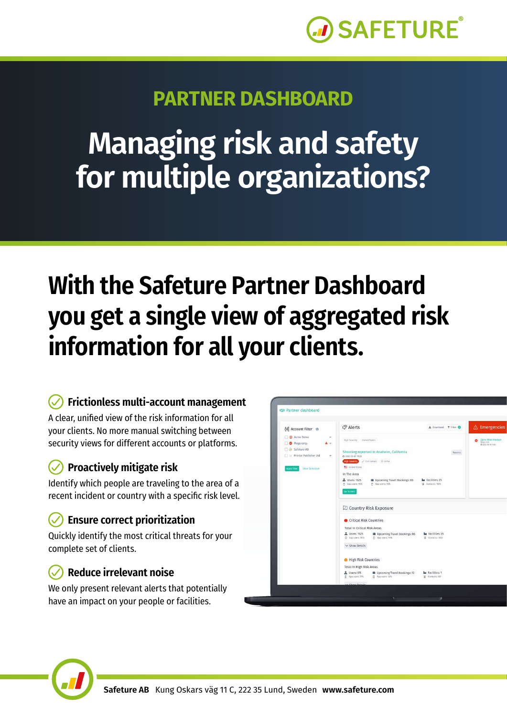

## **PARTNER DASHBOARD**

# **Managing risk and safety for multiple organizations?**

## **With the Safeture Partner Dashboard you get a single view of aggregated risk information for all your clients.**

#### **Frictionless multi-account management**

A clear, unified view of the risk information for all your clients. No more manual switching between security views for different accounts or platforms.

#### **Proactively mitigate risk**

Identify which people are traveling to the area of a recent incident or country with a specific risk level.

#### **Ensure correct prioritization**

Quickly identify the most critical threats for your complete set of clients.

#### **Reduce irrelevant noise**

We only present relevant alerts that potentially have an impact on your people or facilities.



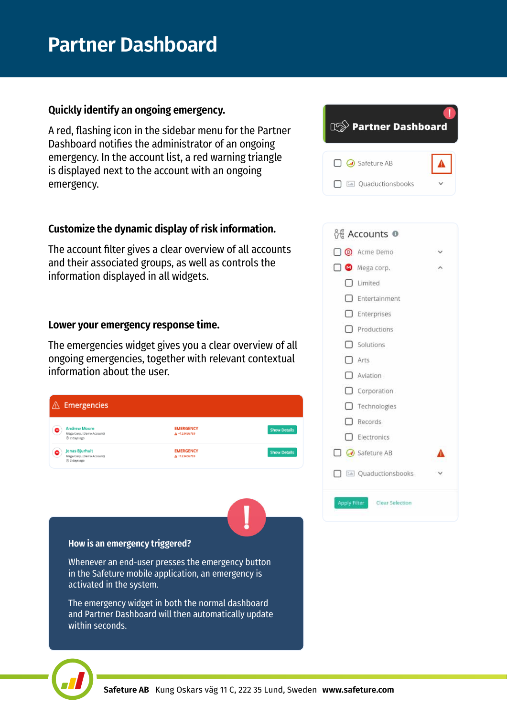## **Partner Dashboard**

#### **Quickly identify an ongoing emergency.**

A red, flashing icon in the sidebar menu for the Partner Dashboard notifies the administrator of an ongoing emergency. In the account list, a red warning triangle is displayed next to the account with an ongoing emergency.

#### **Customize the dynamic display of risk information.**

The account filter gives a clear overview of all accounts and their associated groups, as well as controls the information displayed in all widgets.

#### **Lower your emergency response time.**

The emergencies widget gives you a clear overview of all ongoing emergencies, together with relevant contextual information about the user.







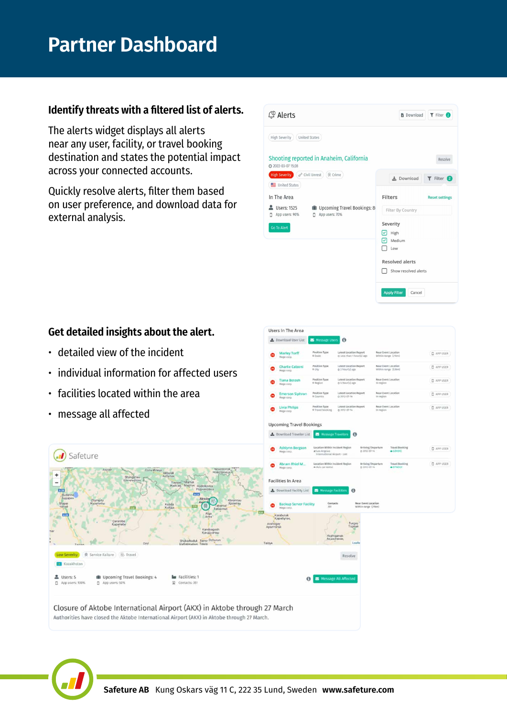#### **Identify threats with a filtered list of alerts.**

The alerts widget displays all alerts near any user, facility, or travel booking destination and states the potential impact across your connected accounts.

Quickly resolve alerts, filter them based on user preference, and download data for external analysis.

| C <sup>O</sup> Alerts                                                                               | $T$ Filter $(2)$<br><b>B</b> Download |                       |  |
|-----------------------------------------------------------------------------------------------------|---------------------------------------|-----------------------|--|
| <b>High Severity</b><br><b>United States</b>                                                        |                                       |                       |  |
| Shooting reported in Anaheim, California<br>2022-03-07 15:28                                        |                                       | Resolve               |  |
| $\mathcal{P}$ Civil Unrest<br><b>Q</b> Crime<br><b>High Severity</b><br>United States               | Le Download                           | T Filter 2            |  |
| In The Area                                                                                         | <b>Filters</b>                        | <b>Reset settings</b> |  |
| Ill Upcoming Travel Bookings: 8<br><b>Users: 1525</b><br>App users: 70%<br>App users: 90%<br>о<br>п | Filter By Country                     |                       |  |
| <b>Go To Alert</b>                                                                                  | Severity<br>High                      |                       |  |
|                                                                                                     | Medium                                |                       |  |
|                                                                                                     | Low                                   |                       |  |
|                                                                                                     | <b>Resolved alerts</b>                |                       |  |
|                                                                                                     | Show resolved alerts                  |                       |  |
|                                                                                                     | <b>Apply Filter</b><br>Cancel         |                       |  |

I٥

Near Even

**Q** APP USER **Q** APP USER **D** APP USER

D APP USER C are user

#### **Get detailed insights about the alert.**

- detailed view of the incident
- individual information for affected users
- facilities located within the area
- message all affected



Users In The Area L Download User List

 $Q = Livia P$